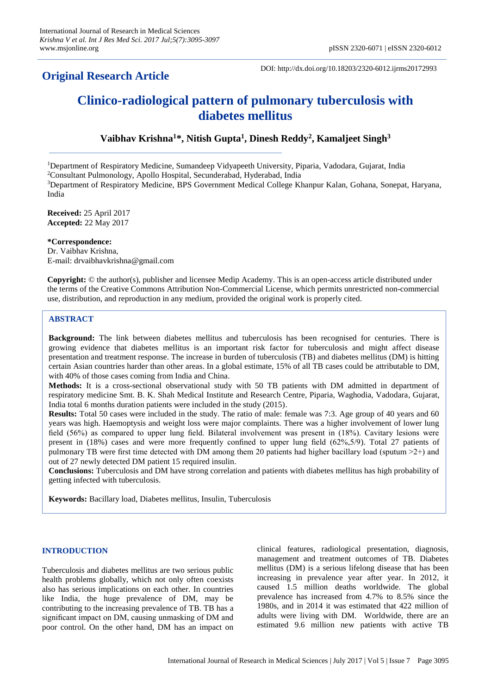# **Original Research Article**

DOI: http://dx.doi.org/10.18203/2320-6012.ijrms20172993

# **Clinico-radiological pattern of pulmonary tuberculosis with diabetes mellitus**

**Vaibhav Krishna<sup>1</sup>\*, Nitish Gupta<sup>1</sup> , Dinesh Reddy<sup>2</sup> , Kamaljeet Singh<sup>3</sup>**

<sup>1</sup>Department of Respiratory Medicine, Sumandeep Vidyapeeth University, Piparia, Vadodara, Gujarat, India

<sup>2</sup>Consultant Pulmonology, Apollo Hospital, Secunderabad, Hyderabad, India

<sup>3</sup>Department of Respiratory Medicine, BPS Government Medical College Khanpur Kalan, Gohana, Sonepat, Haryana, India

**Received:** 25 April 2017 **Accepted:** 22 May 2017

**\*Correspondence:**

Dr. Vaibhav Krishna, E-mail: drvaibhavkrishna@gmail.com

**Copyright:** © the author(s), publisher and licensee Medip Academy. This is an open-access article distributed under the terms of the Creative Commons Attribution Non-Commercial License, which permits unrestricted non-commercial use, distribution, and reproduction in any medium, provided the original work is properly cited.

# **ABSTRACT**

**Background:** The link between diabetes mellitus and tuberculosis has been recognised for centuries. There is growing evidence that diabetes mellitus is an important risk factor for tuberculosis and might affect disease presentation and treatment response. The increase in burden of tuberculosis (TB) and diabetes mellitus (DM) is hitting certain Asian countries harder than other areas. In a global estimate, 15% of all TB cases could be attributable to DM, with 40% of those cases coming from India and China.

**Methods:** It is a cross-sectional observational study with 50 TB patients with DM admitted in department of respiratory medicine Smt. B. K. Shah Medical Institute and Research Centre, Piparia, Waghodia, Vadodara, Gujarat, India total 6 months duration patients were included in the study (2015).

**Results:** Total 50 cases were included in the study. The ratio of male: female was 7:3. Age group of 40 years and 60 years was high. Haemoptysis and weight loss were major complaints. There was a higher involvement of lower lung field (56%) as compared to upper lung field. Bilateral involvement was present in (18%). Cavitary lesions were present in (18%) cases and were more frequently confined to upper lung field (62%,5/9). Total 27 patients of pulmonary TB were first time detected with DM among them 20 patients had higher bacillary load (sputum >2+) and out of 27 newly detected DM patient 15 required insulin.

**Conclusions:** Tuberculosis and DM have strong correlation and patients with diabetes mellitus has high probability of getting infected with tuberculosis.

**Keywords:** Bacillary load, Diabetes mellitus, Insulin, Tuberculosis

# **INTRODUCTION**

Tuberculosis and diabetes mellitus are two serious public health problems globally, which not only often coexists also has serious implications on each other. In countries like India, the huge prevalence of DM, may be contributing to the increasing prevalence of TB. TB has a significant impact on DM, causing unmasking of DM and poor control. On the other hand, DM has an impact on clinical features, radiological presentation, diagnosis, management and treatment outcomes of TB. Diabetes mellitus (DM) is a serious lifelong disease that has been increasing in prevalence year after year. In 2012, it caused 1.5 million deaths worldwide. The global prevalence has increased from 4.7% to 8.5% since the 1980s, and in 2014 it was estimated that 422 million of adults were living with DM. Worldwide, there are an estimated 9.6 million new patients with active TB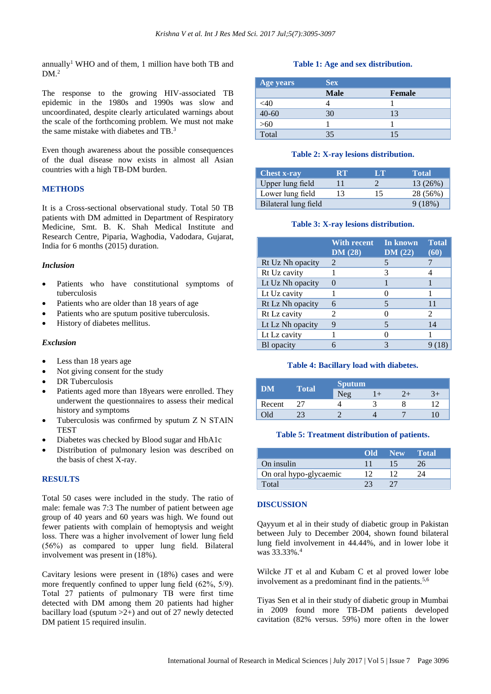annually<sup>1</sup> WHO and of them, 1 million have both TB and  $DM.<sup>2</sup>$ 

The response to the growing HIV-associated TB epidemic in the 1980s and 1990s was slow and uncoordinated, despite clearly articulated warnings about the scale of the forthcoming problem. We must not make the same mistake with diabetes and TB.<sup>3</sup>

Even though awareness about the possible consequences of the dual disease now exists in almost all Asian countries with a high TB-DM burden.

### **METHODS**

It is a Cross-sectional observational study. Total 50 TB patients with DM admitted in Department of Respiratory Medicine, Smt. B. K. Shah Medical Institute and Research Centre, Piparia, Waghodia, Vadodara, Gujarat, India for 6 months (2015) duration.

#### *Inclusion*

- Patients who have constitutional symptoms of tuberculosis
- Patients who are older than 18 years of age
- Patients who are sputum positive tuberculosis.
- History of diabetes mellitus.

#### *Exclusion*

- Less than 18 years age
- Not giving consent for the study
- DR Tuberculosis
- Patients aged more than 18years were enrolled. They underwent the questionnaires to assess their medical history and symptoms
- Tuberculosis was confirmed by sputum Z N STAIN **TEST**
- Diabetes was checked by Blood sugar and HbA1c
- Distribution of pulmonary lesion was described on the basis of chest X-ray.

#### **RESULTS**

Total 50 cases were included in the study. The ratio of male: female was 7:3 The number of patient between age group of 40 years and 60 years was high. We found out fewer patients with complain of hemoptysis and weight loss. There was a higher involvement of lower lung field (56%) as compared to upper lung field. Bilateral involvement was present in (18%).

Cavitary lesions were present in (18%) cases and were more frequently confined to upper lung field (62%, 5/9). Total 27 patients of pulmonary TB were first time detected with DM among them 20 patients had higher bacillary load (sputum  $>2+$ ) and out of 27 newly detected DM patient 15 required insulin.

#### **Table 1: Age and sex distribution.**

| Age years | <b>Sex</b>  |        |
|-----------|-------------|--------|
|           | <b>Male</b> | Female |
| <40       |             |        |
| $40 - 60$ | 30          | 13     |
| $>60$     |             |        |
| Total     | 35          |        |

#### **Table 2: X-ray lesions distribution.**

| <b>Chest x-ray</b>   | RT. | LT | <b>Total</b> |
|----------------------|-----|----|--------------|
| Upper lung field     |     |    | 13 (26%)     |
| Lower lung field     | 13  | 15 | 28 (56%)     |
| Bilateral lung field |     |    | 9(18%)       |

#### **Table 3: X-ray lesions distribution.**

|                  | <b>With recent</b><br>DM(28) | In known<br>DM(22) | <b>Total</b><br>(60)        |
|------------------|------------------------------|--------------------|-----------------------------|
| Rt Uz Nh opacity | 2                            |                    |                             |
| Rt Uz cavity     |                              | 3                  |                             |
| Lt Uz Nh opacity |                              |                    |                             |
| Lt Uz cavity     |                              |                    |                             |
| Rt Lz Nh opacity | 6                            | 5                  | 11                          |
| Rt Lz cavity     | 2                            |                    | $\mathcal{D}_{\mathcal{L}}$ |
| Lt Lz Nh opacity | 9                            | 5                  | 14                          |
| Lt Lz cavity     |                              |                    |                             |
| Bl opacity       |                              | 3                  |                             |

#### **Table 4: Bacillary load with diabetes.**

| DM     | Total | <b>Sputum</b> |  |  |  |  |
|--------|-------|---------------|--|--|--|--|
|        |       | Neg           |  |  |  |  |
| Recent |       |               |  |  |  |  |
| )1d    |       |               |  |  |  |  |

#### **Table 5: Treatment distribution of patients.**

|                        | Old New | <b>Total</b> |
|------------------------|---------|--------------|
| On insulin             |         |              |
| On oral hypo-glycaemic |         |              |
| Total                  |         |              |

#### **DISCUSSION**

Qayyum et al in their study of diabetic group in Pakistan between July to December 2004, shown found bilateral lung field involvement in 44.44%, and in lower lobe it was 33.33%.<sup>4</sup>

Wilcke JT et al and Kubam C et al proved lower lobe involvement as a predominant find in the patients.<sup>5,6</sup>

Tiyas Sen et al in their study of diabetic group in Mumbai in 2009 found more TB-DM patients developed cavitation (82% versus. 59%) more often in the lower